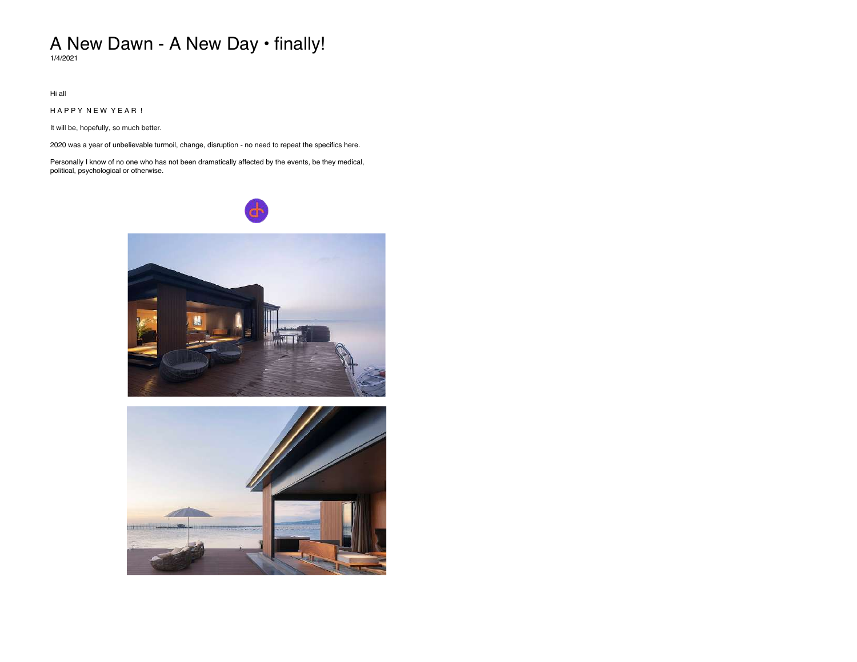## A New Dawn - A New Day • finally!

1/4/2021

Hi all

HAPPY NEW YEAR !

It will be, hopefully, so much better.

2020 was a year of unbelievable turmoil, change, disruption - no need to repeat the specifics here.

Personally I know of no one who has not been dramatically affected by the events, be they medical, political, psychological or otherwise.





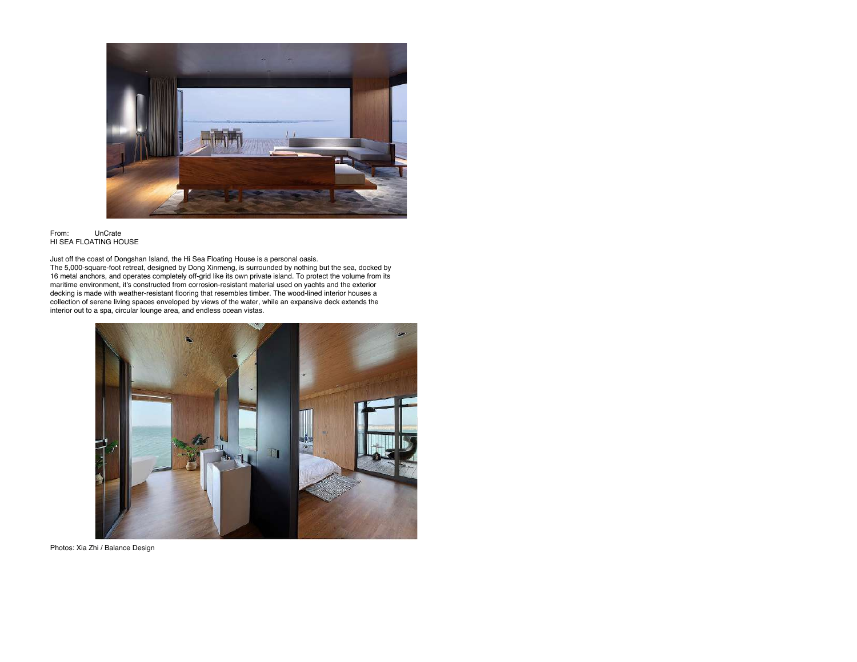



Just off the coast of Dongshan Island, the Hi Sea Floating House is a personal oasis. The 5,000-square-foot retreat, designed by Dong Xinmeng, is surrounded by nothing but the sea, docked by 16 metal anchors, and operates completely off-grid like its own private island. To protect the volume from its maritime environment, it's constructed from corrosion-resistant material used on yachts and the exterior<br>decking is made with weather-resistant flooring that resembles timber. The wood-lined interior houses a<br>collection of



Photos: Xia Zhi / Balance Design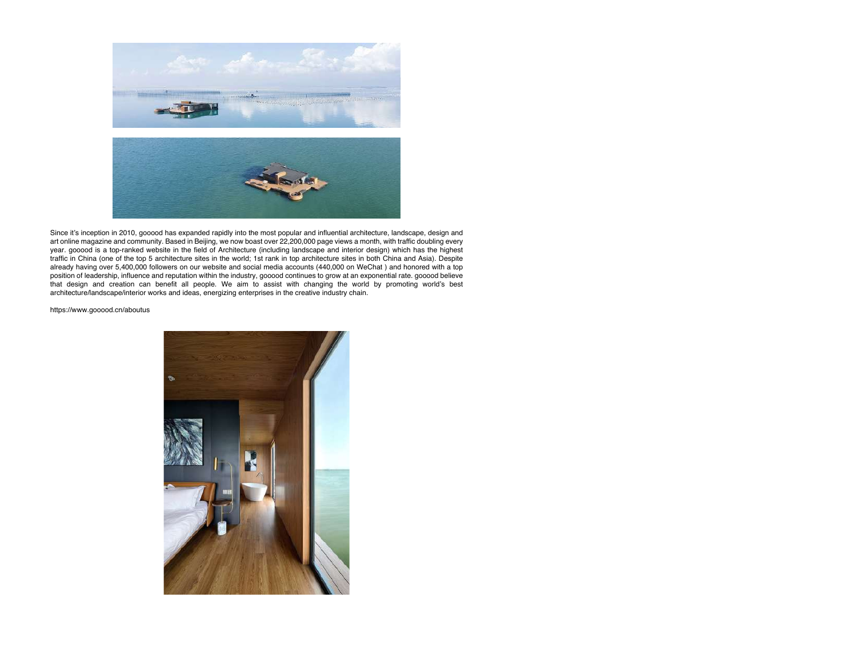

Since it's inception in 2010, gooood has expanded rapidly into the most popular and influential architecture, landscape, design and art online magazine and community. Based in Beijing, we now boast over 22,200,000 page views a month, with traffic doubling every year. gooood is a top-ranked website in the field of Architecture (including landscape and interior design) which has the highest traffic in China (one of the top 5 architecture sites in the world; 1st rank in top architecture sites in both China and Asia). Despite already having over 5,400,000 followers on our website and social media accounts (440,000 on WeChat ) and honored with a top<br>position of leadership, influence and reputation within the industry, gooood continues to grow at that design and creation can benefit all people. We aim to assist with changing the world by promoting world's best architecture/landscape/interior works and ideas, energizing enterprises in the creative industry chain.

## https://www.gooood.cn/aboutus

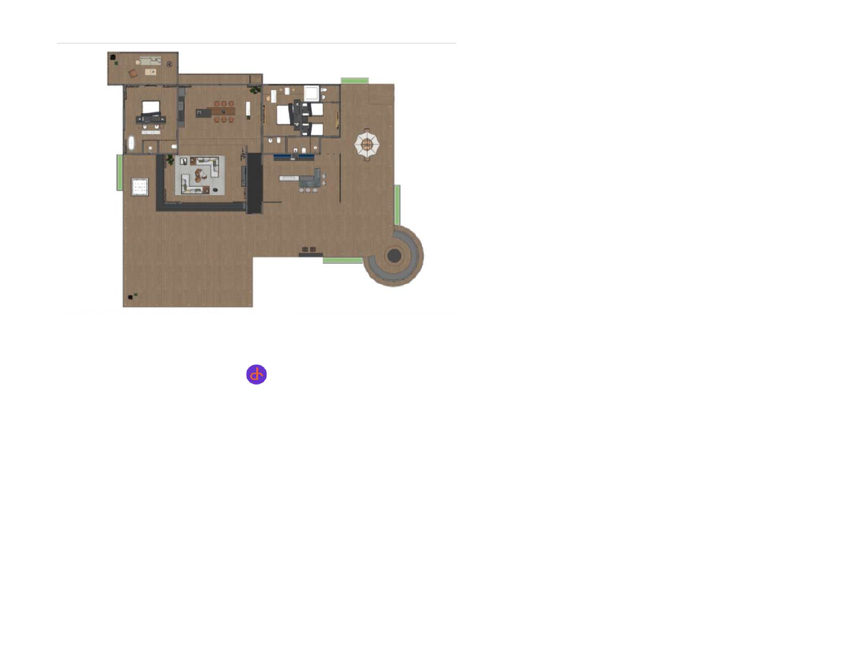

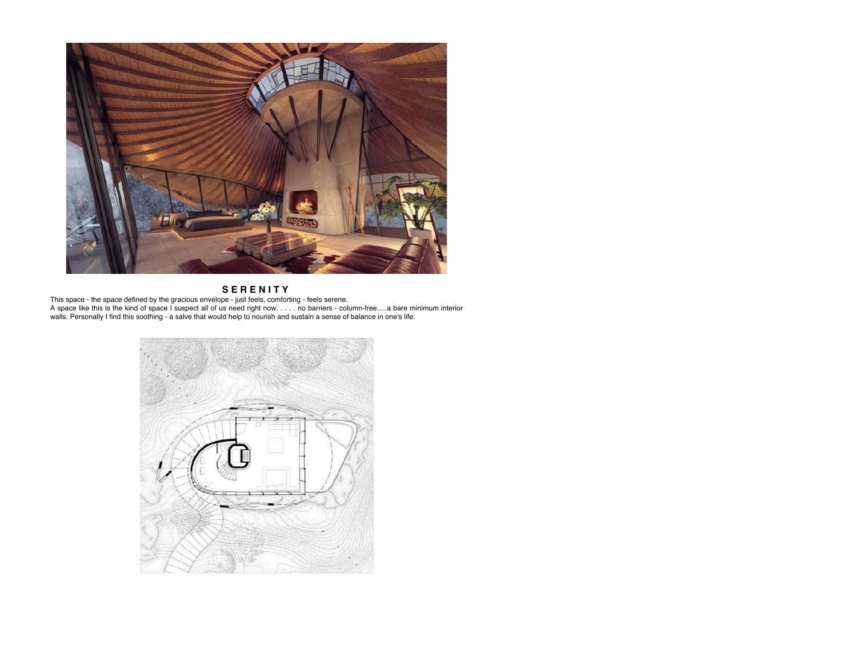

SERENITY<br>This space - the space defined by the gracious envelope - just feels, comforting - feels serene.<br>A space like this is the kind of space I suspect all of us need right now. . . . . no barriers - column-free.....a b

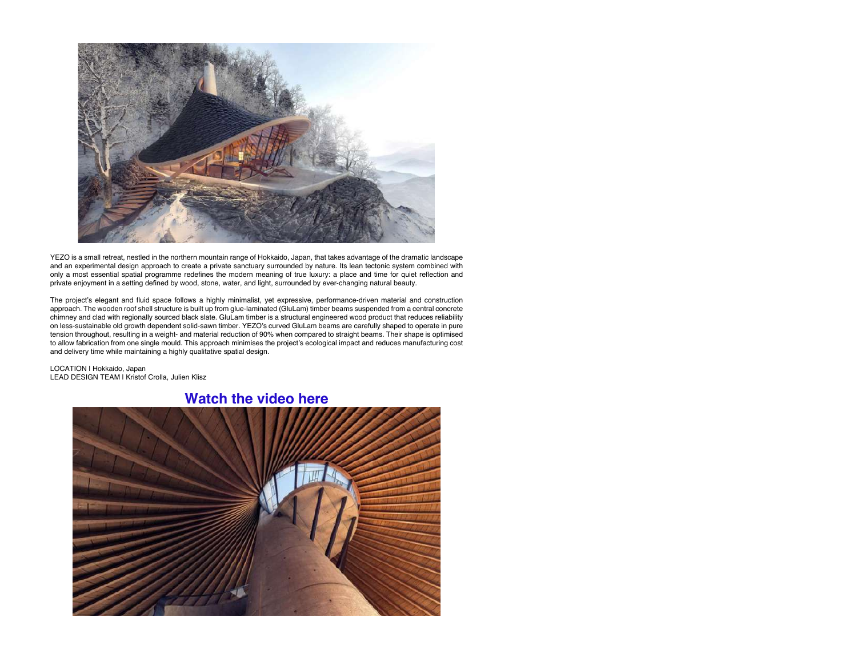

YEZO is a small retreat, nestled in the northern mountain range of Hokkaido, Japan, that takes advantage of the dramatic landscape and an experimental design approach to create a private sanctuary surrounded by nature. Its lean tectonic system combined with only a most essential spatial programme redefines the modern meaning of true luxury: a place and time for quiet reflection and private enjoyment in a setting defined by wood, stone, water, and light, surrounded by ever-changing natural beauty.

The project's elegant and fluid space follows a highly minimalist, yet expressive, performance-driven material and construction approach. The wooden roof shell structure is built up from glue-laminated (GluLam) timber beams suspended from a central concrete chimney and clad with regionally sourced black slate. GluLam timber is a structural engineered wood product that reduces reliability on less-sustainable old growth dependent solid-sawn timber. YEZO's curved GluLam beams are carefully shaped to operate in pure tension throughout, resulting in a weight- and material reduction of 90% when compared to straight beams. Their shape is optimised to allow fabrication from one single mould. This approach minimises the project's ecological impact and reduces manufacturing cost and delivery time while maintaining a highly qualitative spatial design.

LOCATION | Hokkaido, Japan LEAD DESIGN TEAM I Kristof Crolla, Julien Klisz

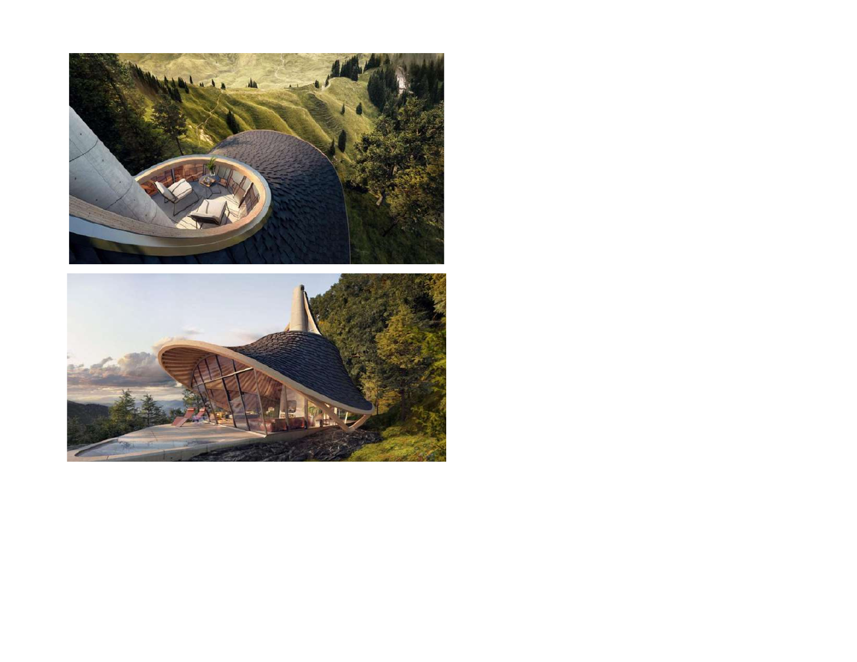